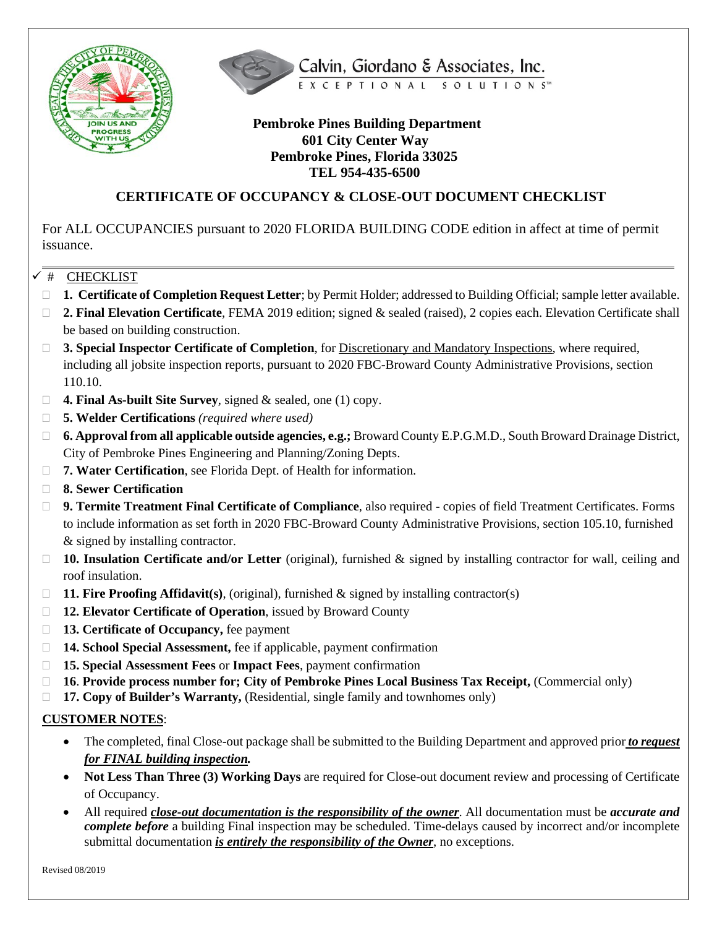



## **Pembroke Pines Building Department 601 City Center Way Pembroke Pines, Florida 33025 TEL 954-435-6500**

# **CERTIFICATE OF OCCUPANCY & CLOSE-OUT DOCUMENT CHECKLIST**

For ALL OCCUPANCIES pursuant to 2020 FLORIDA BUILDING CODE edition in affect at time of permit issuance.

#### $\checkmark$  # CHECKLIST

- **1. Certificate of Completion Request Letter**; by Permit Holder; addressed to Building Official; sample letter available.
- **2. Final Elevation Certificate**, FEMA 2019 edition; signed & sealed (raised), 2 copies each. Elevation Certificate shall be based on building construction.
- **3. Special Inspector Certificate of Completion**, for Discretionary and Mandatory Inspections, where required, including all jobsite inspection reports, pursuant to 2020 FBC-Broward County Administrative Provisions, section 110.10.
- **4. Final As-built Site Survey**, signed & sealed, one (1) copy.
- **5. Welder Certifications** *(required where used)*
- **6. Approval from all applicable outside agencies, e.g.;** Broward County E.P.G.M.D., South Broward Drainage District, City of Pembroke Pines Engineering and Planning/Zoning Depts.
- □ 7. Water Certification, see Florida Dept. of Health for information.
- **8. Sewer Certification**
- **9. Termite Treatment Final Certificate of Compliance**, also required copies of field Treatment Certificates. Forms to include information as set forth in 2020 FBC-Broward County Administrative Provisions, section 105.10, furnished & signed by installing contractor.
- **10. Insulation Certificate and/or Letter** (original), furnished & signed by installing contractor for wall, ceiling and roof insulation.
- **11. Fire Proofing Affidavit(s)**, (original), furnished & signed by installing contractor(s)
- **12. Elevator Certificate of Operation**, issued by Broward County
- **13. Certificate of Occupancy,** fee payment
- **14. School Special Assessment,** fee if applicable, payment confirmation
- **15. Special Assessment Fees** or **Impact Fees**, payment confirmation
- **16**. **Provide process number for; City of Pembroke Pines Local Business Tax Receipt,** (Commercial only)
- **17. Copy of Builder's Warranty,** (Residential, single family and townhomes only)

### **CUSTOMER NOTES**:

- The completed, final Close-out package shall be submitted to the Building Department and approved prior *to request for FINAL building inspection.*
- **Not Less Than Three (3) Working Days** are required for Close-out document review and processing of Certificate of Occupancy.
- All required *close-out documentation is the responsibility of the owner*. All documentation must be *accurate and complete before* a building Final inspection may be scheduled. Time-delays caused by incorrect and/or incomplete submittal documentation *is entirely the responsibility of the Owner*, no exceptions.

Revised 08/2019